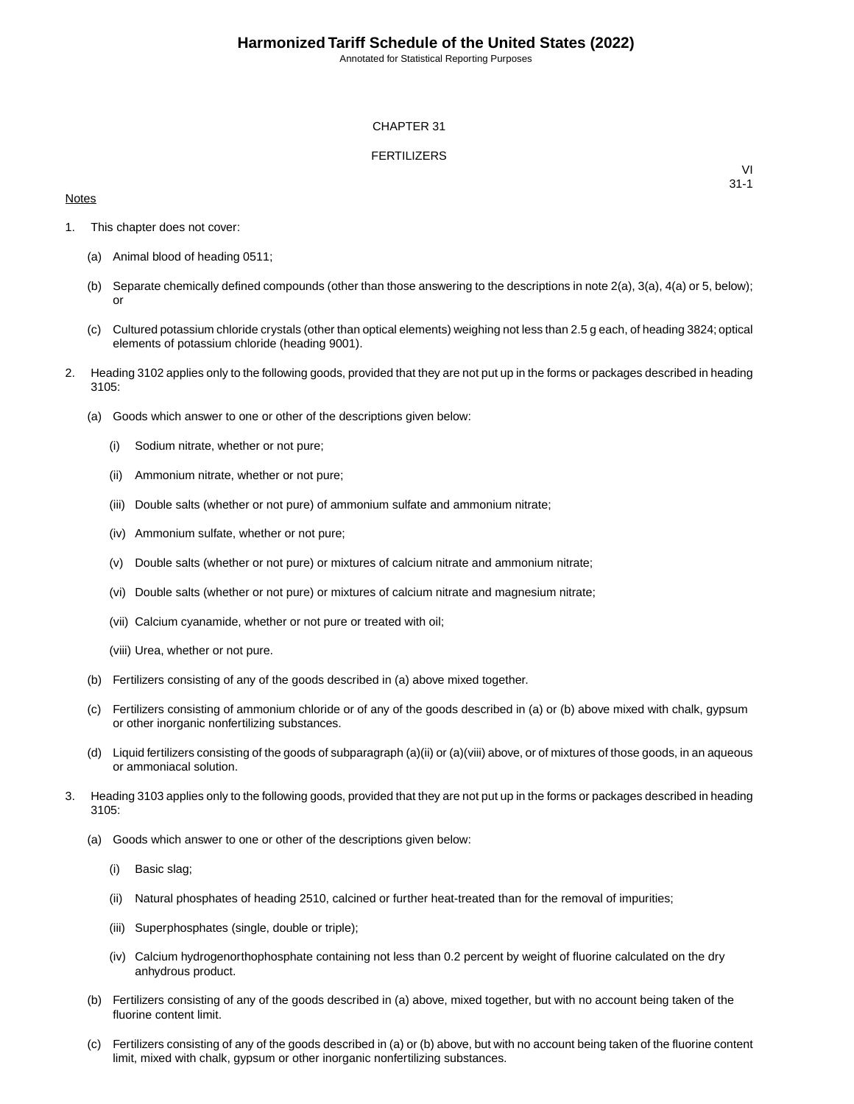Annotated for Statistical Reporting Purposes

## CHAPTER 31

## FERTILIZERS

## **Notes**

VI 31-1

- 1. This chapter does not cover:
	- (a) Animal blood of heading 0511;
	- (b) Separate chemically defined compounds (other than those answering to the descriptions in note 2(a), 3(a), 4(a) or 5, below); or
	- (c) Cultured potassium chloride crystals (other than optical elements) weighing not less than 2.5 g each, of heading 3824; optical elements of potassium chloride (heading 9001).
- 2. Heading 3102 applies only to the following goods, provided that they are not put up in the forms or packages described in heading 3105:
	- (a) Goods which answer to one or other of the descriptions given below:
		- (i) Sodium nitrate, whether or not pure;
		- (ii) Ammonium nitrate, whether or not pure;
		- (iii) Double salts (whether or not pure) of ammonium sulfate and ammonium nitrate;
		- (iv) Ammonium sulfate, whether or not pure;
		- (v) Double salts (whether or not pure) or mixtures of calcium nitrate and ammonium nitrate;
		- (vi) Double salts (whether or not pure) or mixtures of calcium nitrate and magnesium nitrate;
		- (vii) Calcium cyanamide, whether or not pure or treated with oil;
		- (viii) Urea, whether or not pure.
	- (b) Fertilizers consisting of any of the goods described in (a) above mixed together.
	- (c) Fertilizers consisting of ammonium chloride or of any of the goods described in (a) or (b) above mixed with chalk, gypsum or other inorganic nonfertilizing substances.
	- (d) Liquid fertilizers consisting of the goods of subparagraph (a)(ii) or (a)(viii) above, or of mixtures of those goods, in an aqueous or ammoniacal solution.
- 3. Heading 3103 applies only to the following goods, provided that they are not put up in the forms or packages described in heading 3105:
	- (a) Goods which answer to one or other of the descriptions given below:
		- (i) Basic slag;
		- (ii) Natural phosphates of heading 2510, calcined or further heat-treated than for the removal of impurities;
		- (iii) Superphosphates (single, double or triple);
		- (iv) Calcium hydrogenorthophosphate containing not less than 0.2 percent by weight of fluorine calculated on the dry anhydrous product.
	- (b) Fertilizers consisting of any of the goods described in (a) above, mixed together, but with no account being taken of the fluorine content limit.
	- (c) Fertilizers consisting of any of the goods described in (a) or (b) above, but with no account being taken of the fluorine content limit, mixed with chalk, gypsum or other inorganic nonfertilizing substances.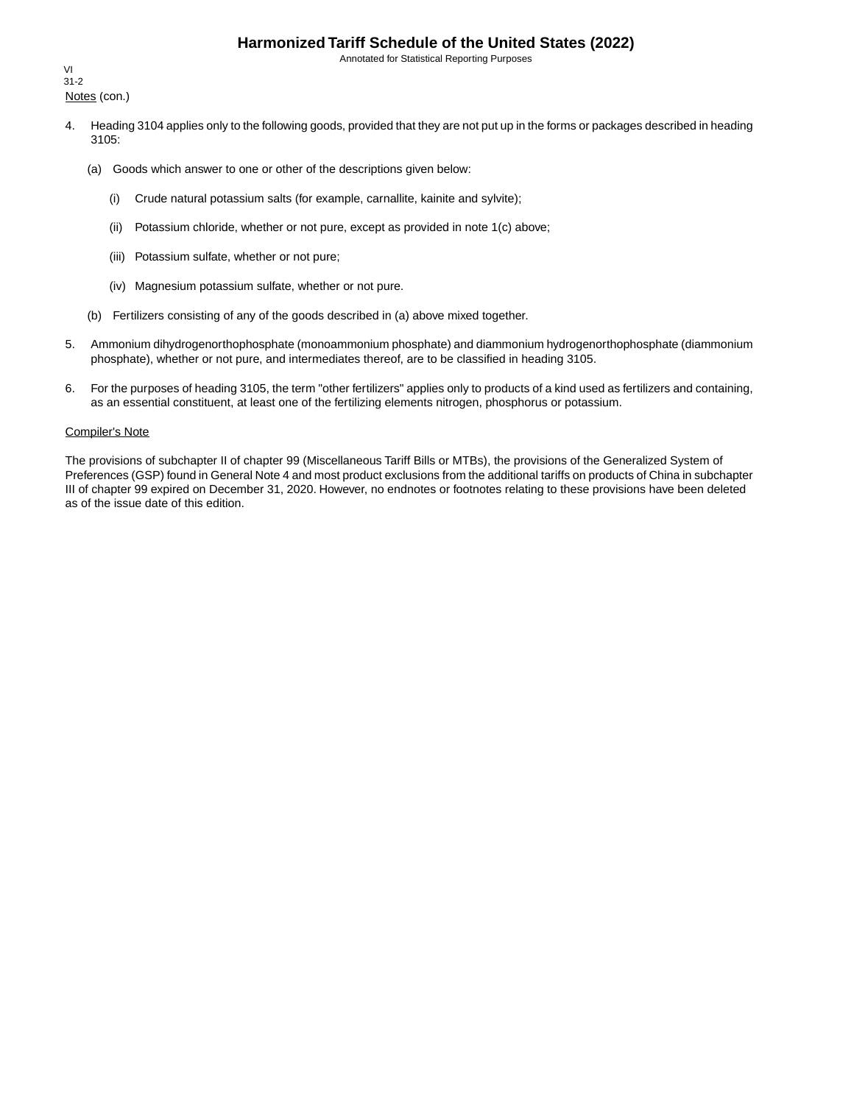# **Harmonized Tariff Schedule of the United States (2022)**

Annotated for Statistical Reporting Purposes

Notes (con.) VI 31-2

- 4. Heading 3104 applies only to the following goods, provided that they are not put up in the forms or packages described in heading 3105:
	- (a) Goods which answer to one or other of the descriptions given below:
		- (i) Crude natural potassium salts (for example, carnallite, kainite and sylvite);
		- (ii) Potassium chloride, whether or not pure, except as provided in note 1(c) above;
		- (iii) Potassium sulfate, whether or not pure;
		- (iv) Magnesium potassium sulfate, whether or not pure.
	- (b) Fertilizers consisting of any of the goods described in (a) above mixed together.
- 5. Ammonium dihydrogenorthophosphate (monoammonium phosphate) and diammonium hydrogenorthophosphate (diammonium phosphate), whether or not pure, and intermediates thereof, are to be classified in heading 3105.
- 6. For the purposes of heading 3105, the term "other fertilizers" applies only to products of a kind used as fertilizers and containing, as an essential constituent, at least one of the fertilizing elements nitrogen, phosphorus or potassium.

#### Compiler's Note

The provisions of subchapter II of chapter 99 (Miscellaneous Tariff Bills or MTBs), the provisions of the Generalized System of Preferences (GSP) found in General Note 4 and most product exclusions from the additional tariffs on products of China in subchapter III of chapter 99 expired on December 31, 2020. However, no endnotes or footnotes relating to these provisions have been deleted as of the issue date of this edition.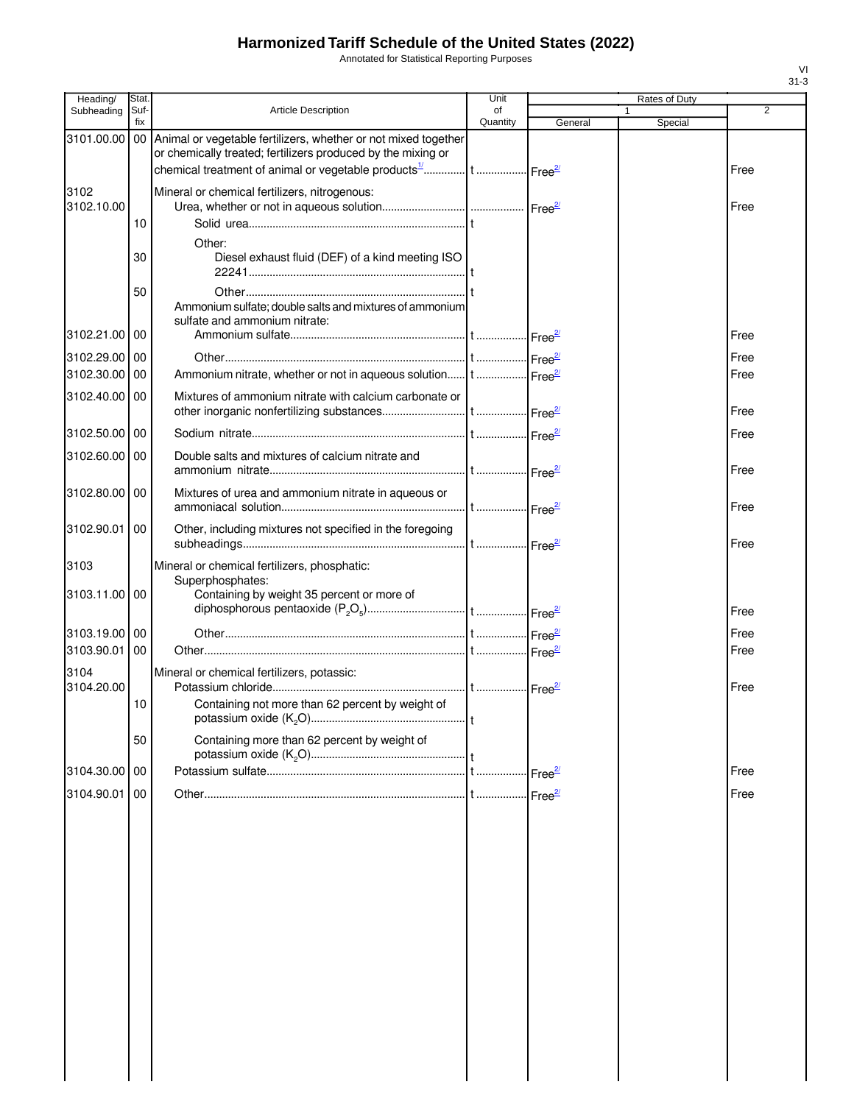# **Harmonized Tariff Schedule of the United States (2022)**

Annotated for Statistical Reporting Purposes

| Heading/                 | Stat.       |                                                                                                                                   | Unit           |         | Rates of Duty |              |
|--------------------------|-------------|-----------------------------------------------------------------------------------------------------------------------------------|----------------|---------|---------------|--------------|
| Subheading               | Suf-<br>fix | Article Description                                                                                                               | of<br>Quantity | General | 1<br>Special  | 2            |
| 3101.00.00               |             | 00 Animal or vegetable fertilizers, whether or not mixed together<br>or chemically treated; fertilizers produced by the mixing or |                |         |               |              |
|                          |             |                                                                                                                                   |                |         |               | Free         |
| 3102                     |             | Mineral or chemical fertilizers, nitrogenous:                                                                                     |                |         |               |              |
| 3102.10.00               |             |                                                                                                                                   |                |         |               | Free         |
|                          | 10          |                                                                                                                                   |                |         |               |              |
|                          | 30          | Other:<br>Diesel exhaust fluid (DEF) of a kind meeting ISO                                                                        |                |         |               |              |
|                          | 50          | Ammonium sulfate; double salts and mixtures of ammonium<br>sulfate and ammonium nitrate:                                          |                |         |               |              |
| 3102.21.00 00            |             |                                                                                                                                   |                |         |               | Free         |
| 3102.29.00 00            |             |                                                                                                                                   |                |         |               | Free         |
| 3102.30.00               | 00          | Ammonium nitrate, whether or not in aqueous solution t  Free <sup>21</sup>                                                        |                |         |               | Free         |
| 3102.40.00 00            |             | Mixtures of ammonium nitrate with calcium carbonate or                                                                            |                |         |               | Free         |
| 3102.50.00 00            |             |                                                                                                                                   |                |         |               | Free         |
|                          |             |                                                                                                                                   |                |         |               |              |
| 3102.60.00               | 00          | Double salts and mixtures of calcium nitrate and                                                                                  |                |         |               | Free         |
| 3102.80.00               | 00          | Mixtures of urea and ammonium nitrate in aqueous or                                                                               |                |         |               | Free         |
| 3102.90.01               | 00          | Other, including mixtures not specified in the foregoing                                                                          |                |         |               | Free         |
| 3103                     |             | Mineral or chemical fertilizers, phosphatic:<br>Superphosphates:                                                                  |                |         |               |              |
| 3103.11.00 00            |             | Containing by weight 35 percent or more of                                                                                        |                |         |               | Free         |
|                          |             |                                                                                                                                   |                |         |               |              |
| 3103.19.00<br>3103.90.01 | 00<br>00    |                                                                                                                                   |                |         |               | Free<br>Free |
|                          |             |                                                                                                                                   |                |         |               |              |
| 3104<br>3104.20.00       |             | Mineral or chemical fertilizers, potassic:                                                                                        |                |         |               | Free         |
|                          | 10          | Containing not more than 62 percent by weight of                                                                                  |                |         |               |              |
|                          | 50          | Containing more than 62 percent by weight of                                                                                      |                |         |               |              |
| 3104.30.00               | 00          |                                                                                                                                   |                |         |               | Free         |
|                          |             |                                                                                                                                   |                |         |               |              |
| 3104.90.01               | 00          |                                                                                                                                   |                |         |               | Free         |
|                          |             |                                                                                                                                   |                |         |               |              |
|                          |             |                                                                                                                                   |                |         |               |              |
|                          |             |                                                                                                                                   |                |         |               |              |
|                          |             |                                                                                                                                   |                |         |               |              |
|                          |             |                                                                                                                                   |                |         |               |              |
|                          |             |                                                                                                                                   |                |         |               |              |
|                          |             |                                                                                                                                   |                |         |               |              |
|                          |             |                                                                                                                                   |                |         |               |              |
|                          |             |                                                                                                                                   |                |         |               |              |
|                          |             |                                                                                                                                   |                |         |               |              |
|                          |             |                                                                                                                                   |                |         |               |              |
|                          |             |                                                                                                                                   |                |         |               |              |
|                          |             |                                                                                                                                   |                |         |               |              |
|                          |             |                                                                                                                                   |                |         |               |              |
|                          |             |                                                                                                                                   |                |         |               |              |

VI 31-3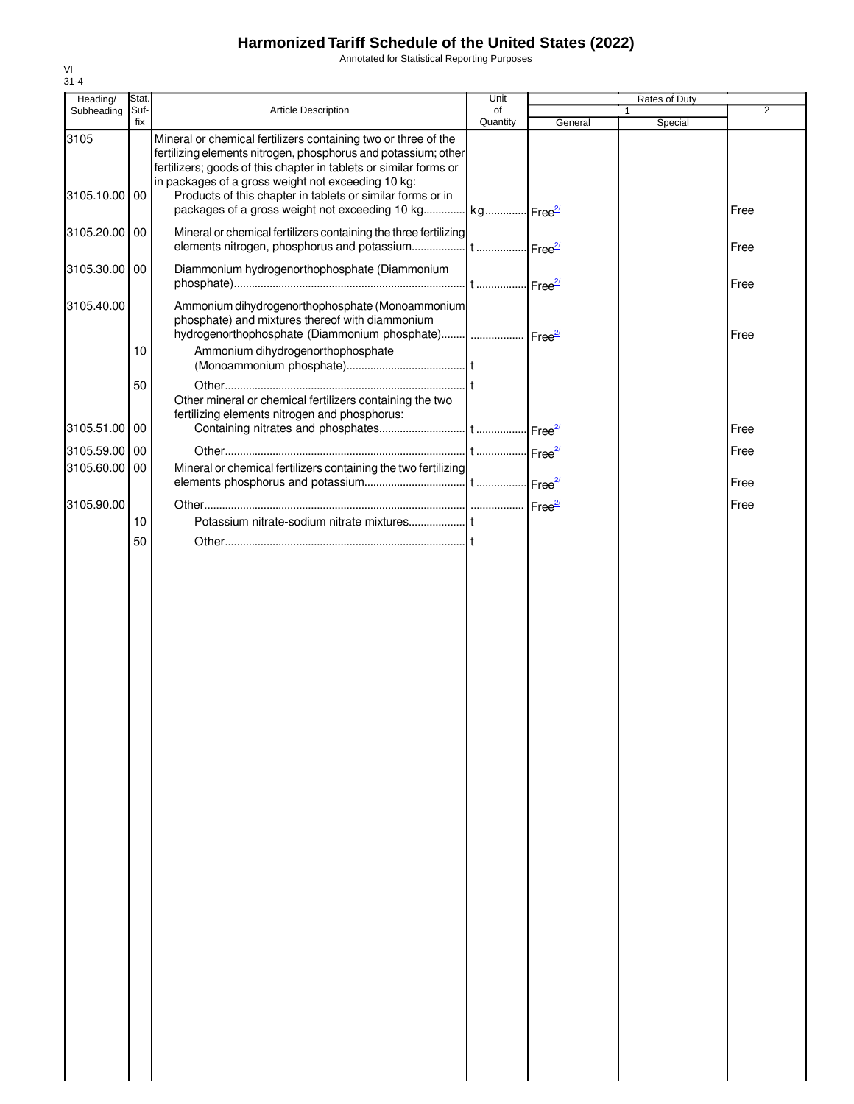# **Harmonized Tariff Schedule of the United States (2022)**

Annotated for Statistical Reporting Purposes

| Suf-<br>Article Description<br>of<br>Subheading<br>fix<br>Quantity<br>General<br>3105<br>Mineral or chemical fertilizers containing two or three of the<br>fertilizing elements nitrogen, phosphorus and potassium; other<br>fertilizers; goods of this chapter in tablets or similar forms or<br>in packages of a gross weight not exceeding 10 kg:<br>Products of this chapter in tablets or similar forms or in<br>3105.10.00 00<br>packages of a gross weight not exceeding 10 kg kg Free <sup>21</sup><br>Mineral or chemical fertilizers containing the three fertilizing<br>3105.20.00 00<br>3105.30.00 00<br>Diammonium hydrogenorthophosphate (Diammonium<br>Ammonium dihydrogenorthophosphate (Monoammonium<br>3105.40.00 | $\overline{2}$<br>Special<br>Free<br>Free<br>Free |
|-------------------------------------------------------------------------------------------------------------------------------------------------------------------------------------------------------------------------------------------------------------------------------------------------------------------------------------------------------------------------------------------------------------------------------------------------------------------------------------------------------------------------------------------------------------------------------------------------------------------------------------------------------------------------------------------------------------------------------------|---------------------------------------------------|
|                                                                                                                                                                                                                                                                                                                                                                                                                                                                                                                                                                                                                                                                                                                                     |                                                   |
|                                                                                                                                                                                                                                                                                                                                                                                                                                                                                                                                                                                                                                                                                                                                     |                                                   |
|                                                                                                                                                                                                                                                                                                                                                                                                                                                                                                                                                                                                                                                                                                                                     |                                                   |
|                                                                                                                                                                                                                                                                                                                                                                                                                                                                                                                                                                                                                                                                                                                                     |                                                   |
|                                                                                                                                                                                                                                                                                                                                                                                                                                                                                                                                                                                                                                                                                                                                     |                                                   |
| phosphate) and mixtures thereof with diammonium<br>hydrogenorthophosphate (Diammonium phosphate)  Free <sup>27</sup>                                                                                                                                                                                                                                                                                                                                                                                                                                                                                                                                                                                                                | Free                                              |
| Ammonium dihydrogenorthophosphate<br>10                                                                                                                                                                                                                                                                                                                                                                                                                                                                                                                                                                                                                                                                                             |                                                   |
| 50<br>Other mineral or chemical fertilizers containing the two<br>fertilizing elements nitrogen and phosphorus:                                                                                                                                                                                                                                                                                                                                                                                                                                                                                                                                                                                                                     |                                                   |
| 3105.51.00 00                                                                                                                                                                                                                                                                                                                                                                                                                                                                                                                                                                                                                                                                                                                       | Free                                              |
| 3105.59.00 00                                                                                                                                                                                                                                                                                                                                                                                                                                                                                                                                                                                                                                                                                                                       | Free                                              |
| Mineral or chemical fertilizers containing the two fertilizing<br>3105.60.00 00                                                                                                                                                                                                                                                                                                                                                                                                                                                                                                                                                                                                                                                     | Free                                              |
| 3105.90.00                                                                                                                                                                                                                                                                                                                                                                                                                                                                                                                                                                                                                                                                                                                          | Free                                              |
| 10                                                                                                                                                                                                                                                                                                                                                                                                                                                                                                                                                                                                                                                                                                                                  |                                                   |
| 50                                                                                                                                                                                                                                                                                                                                                                                                                                                                                                                                                                                                                                                                                                                                  |                                                   |
|                                                                                                                                                                                                                                                                                                                                                                                                                                                                                                                                                                                                                                                                                                                                     |                                                   |
|                                                                                                                                                                                                                                                                                                                                                                                                                                                                                                                                                                                                                                                                                                                                     |                                                   |
|                                                                                                                                                                                                                                                                                                                                                                                                                                                                                                                                                                                                                                                                                                                                     |                                                   |
|                                                                                                                                                                                                                                                                                                                                                                                                                                                                                                                                                                                                                                                                                                                                     |                                                   |
|                                                                                                                                                                                                                                                                                                                                                                                                                                                                                                                                                                                                                                                                                                                                     |                                                   |
|                                                                                                                                                                                                                                                                                                                                                                                                                                                                                                                                                                                                                                                                                                                                     |                                                   |
|                                                                                                                                                                                                                                                                                                                                                                                                                                                                                                                                                                                                                                                                                                                                     |                                                   |
|                                                                                                                                                                                                                                                                                                                                                                                                                                                                                                                                                                                                                                                                                                                                     |                                                   |
|                                                                                                                                                                                                                                                                                                                                                                                                                                                                                                                                                                                                                                                                                                                                     |                                                   |
|                                                                                                                                                                                                                                                                                                                                                                                                                                                                                                                                                                                                                                                                                                                                     |                                                   |
|                                                                                                                                                                                                                                                                                                                                                                                                                                                                                                                                                                                                                                                                                                                                     |                                                   |
|                                                                                                                                                                                                                                                                                                                                                                                                                                                                                                                                                                                                                                                                                                                                     |                                                   |
|                                                                                                                                                                                                                                                                                                                                                                                                                                                                                                                                                                                                                                                                                                                                     |                                                   |
|                                                                                                                                                                                                                                                                                                                                                                                                                                                                                                                                                                                                                                                                                                                                     |                                                   |
|                                                                                                                                                                                                                                                                                                                                                                                                                                                                                                                                                                                                                                                                                                                                     |                                                   |
|                                                                                                                                                                                                                                                                                                                                                                                                                                                                                                                                                                                                                                                                                                                                     |                                                   |
|                                                                                                                                                                                                                                                                                                                                                                                                                                                                                                                                                                                                                                                                                                                                     |                                                   |
|                                                                                                                                                                                                                                                                                                                                                                                                                                                                                                                                                                                                                                                                                                                                     |                                                   |
|                                                                                                                                                                                                                                                                                                                                                                                                                                                                                                                                                                                                                                                                                                                                     |                                                   |
|                                                                                                                                                                                                                                                                                                                                                                                                                                                                                                                                                                                                                                                                                                                                     |                                                   |
|                                                                                                                                                                                                                                                                                                                                                                                                                                                                                                                                                                                                                                                                                                                                     |                                                   |
|                                                                                                                                                                                                                                                                                                                                                                                                                                                                                                                                                                                                                                                                                                                                     |                                                   |
|                                                                                                                                                                                                                                                                                                                                                                                                                                                                                                                                                                                                                                                                                                                                     |                                                   |
|                                                                                                                                                                                                                                                                                                                                                                                                                                                                                                                                                                                                                                                                                                                                     |                                                   |
|                                                                                                                                                                                                                                                                                                                                                                                                                                                                                                                                                                                                                                                                                                                                     |                                                   |
|                                                                                                                                                                                                                                                                                                                                                                                                                                                                                                                                                                                                                                                                                                                                     |                                                   |
|                                                                                                                                                                                                                                                                                                                                                                                                                                                                                                                                                                                                                                                                                                                                     |                                                   |

VI 31-4